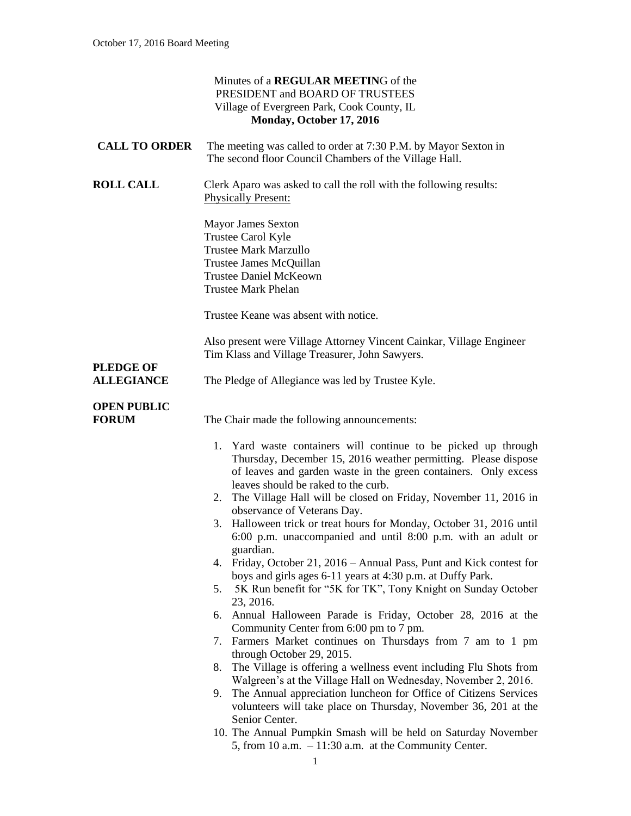|                                    | Minutes of a REGULAR MEETING of the<br>PRESIDENT and BOARD OF TRUSTEES<br>Village of Evergreen Park, Cook County, IL<br>Monday, October 17, 2016                                                                                                                                                                                                                                                                                                                                                                                                                                                                                                                                                                                                                                                                                                                                                                                                                                                                                                                                                                                                                                                                                                                                                                                                                                      |
|------------------------------------|---------------------------------------------------------------------------------------------------------------------------------------------------------------------------------------------------------------------------------------------------------------------------------------------------------------------------------------------------------------------------------------------------------------------------------------------------------------------------------------------------------------------------------------------------------------------------------------------------------------------------------------------------------------------------------------------------------------------------------------------------------------------------------------------------------------------------------------------------------------------------------------------------------------------------------------------------------------------------------------------------------------------------------------------------------------------------------------------------------------------------------------------------------------------------------------------------------------------------------------------------------------------------------------------------------------------------------------------------------------------------------------|
| <b>CALL TO ORDER</b>               | The meeting was called to order at 7:30 P.M. by Mayor Sexton in<br>The second floor Council Chambers of the Village Hall.                                                                                                                                                                                                                                                                                                                                                                                                                                                                                                                                                                                                                                                                                                                                                                                                                                                                                                                                                                                                                                                                                                                                                                                                                                                             |
| <b>ROLL CALL</b>                   | Clerk Aparo was asked to call the roll with the following results:<br><b>Physically Present:</b>                                                                                                                                                                                                                                                                                                                                                                                                                                                                                                                                                                                                                                                                                                                                                                                                                                                                                                                                                                                                                                                                                                                                                                                                                                                                                      |
|                                    | <b>Mayor James Sexton</b><br>Trustee Carol Kyle<br><b>Trustee Mark Marzullo</b><br>Trustee James McQuillan<br><b>Trustee Daniel McKeown</b><br><b>Trustee Mark Phelan</b>                                                                                                                                                                                                                                                                                                                                                                                                                                                                                                                                                                                                                                                                                                                                                                                                                                                                                                                                                                                                                                                                                                                                                                                                             |
|                                    | Trustee Keane was absent with notice.                                                                                                                                                                                                                                                                                                                                                                                                                                                                                                                                                                                                                                                                                                                                                                                                                                                                                                                                                                                                                                                                                                                                                                                                                                                                                                                                                 |
| <b>PLEDGE OF</b>                   | Also present were Village Attorney Vincent Cainkar, Village Engineer<br>Tim Klass and Village Treasurer, John Sawyers.                                                                                                                                                                                                                                                                                                                                                                                                                                                                                                                                                                                                                                                                                                                                                                                                                                                                                                                                                                                                                                                                                                                                                                                                                                                                |
| <b>ALLEGIANCE</b>                  | The Pledge of Allegiance was led by Trustee Kyle.                                                                                                                                                                                                                                                                                                                                                                                                                                                                                                                                                                                                                                                                                                                                                                                                                                                                                                                                                                                                                                                                                                                                                                                                                                                                                                                                     |
| <b>OPEN PUBLIC</b><br><b>FORUM</b> | The Chair made the following announcements:                                                                                                                                                                                                                                                                                                                                                                                                                                                                                                                                                                                                                                                                                                                                                                                                                                                                                                                                                                                                                                                                                                                                                                                                                                                                                                                                           |
|                                    | 1. Yard waste containers will continue to be picked up through<br>Thursday, December 15, 2016 weather permitting. Please dispose<br>of leaves and garden waste in the green containers. Only excess<br>leaves should be raked to the curb.<br>The Village Hall will be closed on Friday, November 11, 2016 in<br>2.<br>observance of Veterans Day.<br>3. Halloween trick or treat hours for Monday, October 31, 2016 until<br>6:00 p.m. unaccompanied and until 8:00 p.m. with an adult or<br>guardian.<br>Friday, October 21, 2016 – Annual Pass, Punt and Kick contest for<br>4.<br>boys and girls ages 6-11 years at 4:30 p.m. at Duffy Park.<br>5K Run benefit for "5K for TK", Tony Knight on Sunday October<br>5.<br>23, 2016.<br>Annual Halloween Parade is Friday, October 28, 2016 at the<br>6.<br>Community Center from 6:00 pm to 7 pm.<br>7. Farmers Market continues on Thursdays from 7 am to 1 pm<br>through October 29, 2015.<br>The Village is offering a wellness event including Flu Shots from<br>8.<br>Walgreen's at the Village Hall on Wednesday, November 2, 2016.<br>The Annual appreciation luncheon for Office of Citizens Services<br>9.<br>volunteers will take place on Thursday, November 36, 201 at the<br>Senior Center.<br>10. The Annual Pumpkin Smash will be held on Saturday November<br>5, from 10 a.m. $-11:30$ a.m. at the Community Center. |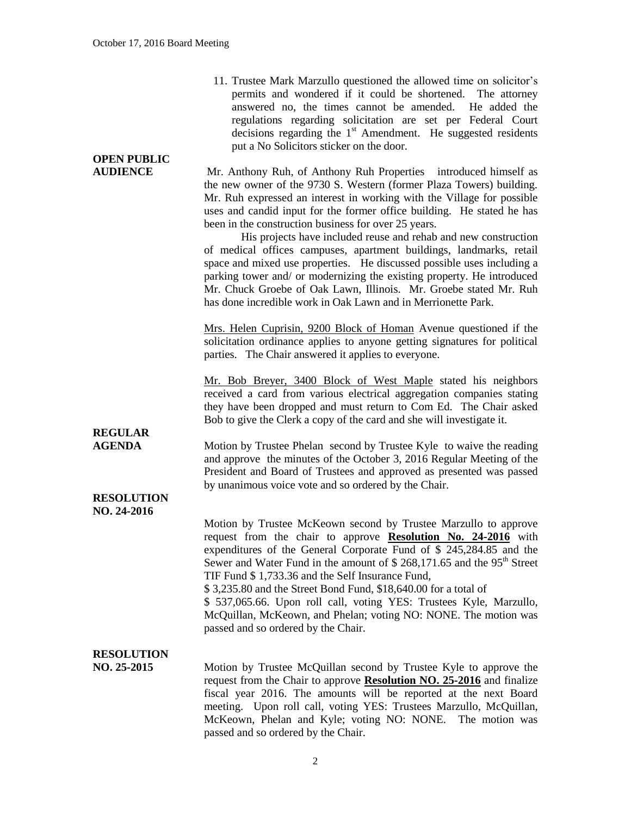| <b>OPEN PUBLIC</b>               | 11. Trustee Mark Marzullo questioned the allowed time on solicitor's<br>permits and wondered if it could be shortened. The attorney<br>answered no, the times cannot be amended. He added the<br>regulations regarding solicitation are set per Federal Court<br>decisions regarding the $1st$ Amendment. He suggested residents<br>put a No Solicitors sticker on the door.                                                                                                                                                                                                                                                                                                                                                                                                             |
|----------------------------------|------------------------------------------------------------------------------------------------------------------------------------------------------------------------------------------------------------------------------------------------------------------------------------------------------------------------------------------------------------------------------------------------------------------------------------------------------------------------------------------------------------------------------------------------------------------------------------------------------------------------------------------------------------------------------------------------------------------------------------------------------------------------------------------|
| <b>AUDIENCE</b>                  | Mr. Anthony Ruh, of Anthony Ruh Properties introduced himself as<br>the new owner of the 9730 S. Western (former Plaza Towers) building.<br>Mr. Ruh expressed an interest in working with the Village for possible<br>uses and candid input for the former office building. He stated he has<br>been in the construction business for over 25 years.<br>His projects have included reuse and rehab and new construction<br>of medical offices campuses, apartment buildings, landmarks, retail<br>space and mixed use properties. He discussed possible uses including a<br>parking tower and/ or modernizing the existing property. He introduced<br>Mr. Chuck Groebe of Oak Lawn, Illinois. Mr. Groebe stated Mr. Ruh<br>has done incredible work in Oak Lawn and in Merrionette Park. |
|                                  | Mrs. Helen Cuprisin, 9200 Block of Homan Avenue questioned if the<br>solicitation ordinance applies to anyone getting signatures for political<br>parties. The Chair answered it applies to everyone.                                                                                                                                                                                                                                                                                                                                                                                                                                                                                                                                                                                    |
| <b>REGULAR</b>                   | Mr. Bob Breyer, 3400 Block of West Maple stated his neighbors<br>received a card from various electrical aggregation companies stating<br>they have been dropped and must return to Com Ed. The Chair asked<br>Bob to give the Clerk a copy of the card and she will investigate it.                                                                                                                                                                                                                                                                                                                                                                                                                                                                                                     |
| <b>AGENDA</b>                    | Motion by Trustee Phelan second by Trustee Kyle to waive the reading<br>and approve the minutes of the October 3, 2016 Regular Meeting of the<br>President and Board of Trustees and approved as presented was passed<br>by unanimous voice vote and so ordered by the Chair.                                                                                                                                                                                                                                                                                                                                                                                                                                                                                                            |
| <b>RESOLUTION</b><br>NO. 24-2016 |                                                                                                                                                                                                                                                                                                                                                                                                                                                                                                                                                                                                                                                                                                                                                                                          |
|                                  | Motion by Trustee McKeown second by Trustee Marzullo to approve<br>request from the chair to approve Resolution No. 24-2016 with<br>expenditures of the General Corporate Fund of \$ 245,284.85 and the<br>Sewer and Water Fund in the amount of $$268,171.65$ and the 95 <sup>th</sup> Street<br>TIF Fund \$1,733.36 and the Self Insurance Fund,<br>\$3,235.80 and the Street Bond Fund, \$18,640.00 for a total of<br>\$ 537,065.66. Upon roll call, voting YES: Trustees Kyle, Marzullo,<br>McQuillan, McKeown, and Phelan; voting NO: NONE. The motion was<br>passed and so ordered by the Chair.                                                                                                                                                                                   |
| <b>RESOLUTION</b>                |                                                                                                                                                                                                                                                                                                                                                                                                                                                                                                                                                                                                                                                                                                                                                                                          |
| NO. 25-2015                      | Motion by Trustee McQuillan second by Trustee Kyle to approve the<br>request from the Chair to approve <b>Resolution NO. 25-2016</b> and finalize<br>fiscal year 2016. The amounts will be reported at the next Board<br>meeting. Upon roll call, voting YES: Trustees Marzullo, McQuillan,<br>McKeown, Phelan and Kyle; voting NO: NONE. The motion was<br>passed and so ordered by the Chair.                                                                                                                                                                                                                                                                                                                                                                                          |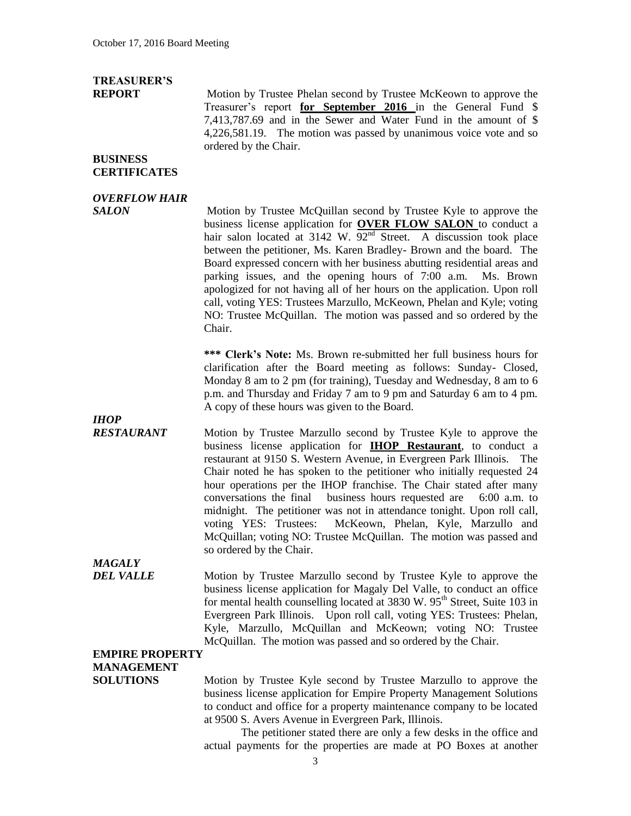# **TREASURER'S**

**REPORT** Motion by Trustee Phelan second by Trustee McKeown to approve the Treasurer's report **for September 2016** in the General Fund \$ 7,413,787.69 and in the Sewer and Water Fund in the amount of \$ 4,226,581.19. The motion was passed by unanimous voice vote and so ordered by the Chair.

# **BUSINESS CERTIFICATES**

# *OVERFLOW HAIR*

*SALON* Motion by Trustee McQuillan second by Trustee Kyle to approve the business license application for **OVER FLOW SALON** to conduct a hair salon located at  $3142$  W.  $92<sup>nd</sup>$  Street. A discussion took place between the petitioner, Ms. Karen Bradley- Brown and the board. The Board expressed concern with her business abutting residential areas and parking issues, and the opening hours of 7:00 a.m. Ms. Brown apologized for not having all of her hours on the application. Upon roll call, voting YES: Trustees Marzullo, McKeown, Phelan and Kyle; voting NO: Trustee McQuillan. The motion was passed and so ordered by the Chair.

> **\*\*\* Clerk's Note:** Ms. Brown re-submitted her full business hours for clarification after the Board meeting as follows: Sunday- Closed, Monday 8 am to 2 pm (for training), Tuesday and Wednesday, 8 am to 6 p.m. and Thursday and Friday 7 am to 9 pm and Saturday 6 am to 4 pm. A copy of these hours was given to the Board.

*IHOP* 

*RESTAURANT* Motion by Trustee Marzullo second by Trustee Kyle to approve the business license application for **IHOP Restaurant**, to conduct a restaurant at 9150 S. Western Avenue, in Evergreen Park Illinois. The Chair noted he has spoken to the petitioner who initially requested 24 hour operations per the IHOP franchise. The Chair stated after many conversations the final business hours requested are 6:00 a.m. to midnight. The petitioner was not in attendance tonight. Upon roll call, voting YES: Trustees: McKeown, Phelan, Kyle, Marzullo and McQuillan; voting NO: Trustee McQuillan. The motion was passed and so ordered by the Chair.

*MAGALY*

*DEL VALLE* Motion by Trustee Marzullo second by Trustee Kyle to approve the business license application for Magaly Del Valle, to conduct an office for mental health counselling located at  $3830 \text{ W}$ .  $95^{\text{th}}$  Street, Suite 103 in Evergreen Park Illinois. Upon roll call, voting YES: Trustees: Phelan, Kyle, Marzullo, McQuillan and McKeown; voting NO: Trustee McQuillan. The motion was passed and so ordered by the Chair.

#### **EMPIRE PROPERTY MANAGEMENT**

**SOLUTIONS** Motion by Trustee Kyle second by Trustee Marzullo to approve the business license application for Empire Property Management Solutions to conduct and office for a property maintenance company to be located at 9500 S. Avers Avenue in Evergreen Park, Illinois.

The petitioner stated there are only a few desks in the office and actual payments for the properties are made at PO Boxes at another